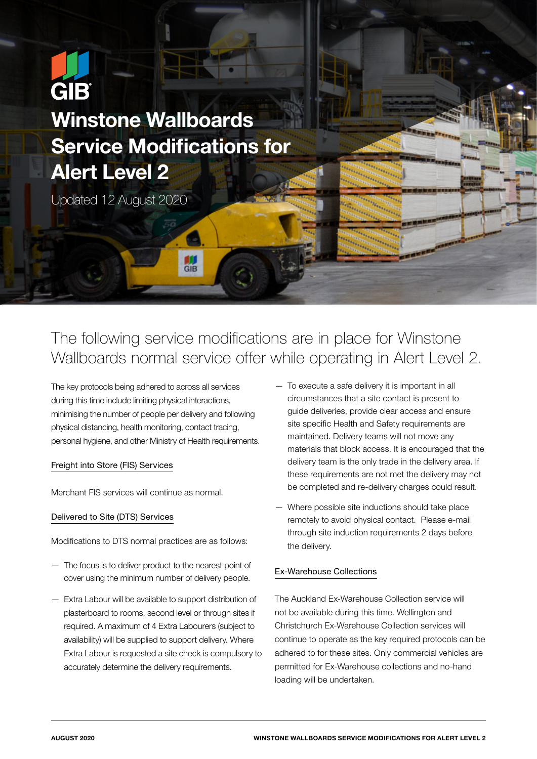# **GIB** Winstone Wallboards Service Modifications for Alert Level 2

 $\frac{11}{\text{GB}}$ 

Updated 12 August 2020

The following service modifications are in place for Winstone Wallboards normal service offer while operating in Alert Level 2.

The key protocols being adhered to across all services during this time include limiting physical interactions, minimising the number of people per delivery and following physical distancing, health monitoring, contact tracing, personal hygiene, and other Ministry of Health requirements.

## Freight into Store (FIS) Services

Merchant FIS services will continue as normal.

## Delivered to Site (DTS) Services

Modifications to DTS normal practices are as follows:

- The focus is to deliver product to the nearest point of cover using the minimum number of delivery people.
- Extra Labour will be available to support distribution of plasterboard to rooms, second level or through sites if required. A maximum of 4 Extra Labourers (subject to availability) will be supplied to support delivery. Where Extra Labour is requested a site check is compulsory to accurately determine the delivery requirements.
- To execute a safe delivery it is important in all circumstances that a site contact is present to guide deliveries, provide clear access and ensure site specific Health and Safety requirements are maintained. Delivery teams will not move any materials that block access. It is encouraged that the delivery team is the only trade in the delivery area. If these requirements are not met the delivery may not be completed and re-delivery charges could result.
- Where possible site inductions should take place remotely to avoid physical contact. Please e-mail through site induction requirements 2 days before the delivery.

## Ex-Warehouse Collections

The Auckland Ex-Warehouse Collection service will not be available during this time. Wellington and Christchurch Ex-Warehouse Collection services will continue to operate as the key required protocols can be adhered to for these sites. Only commercial vehicles are permitted for Ex-Warehouse collections and no-hand loading will be undertaken.